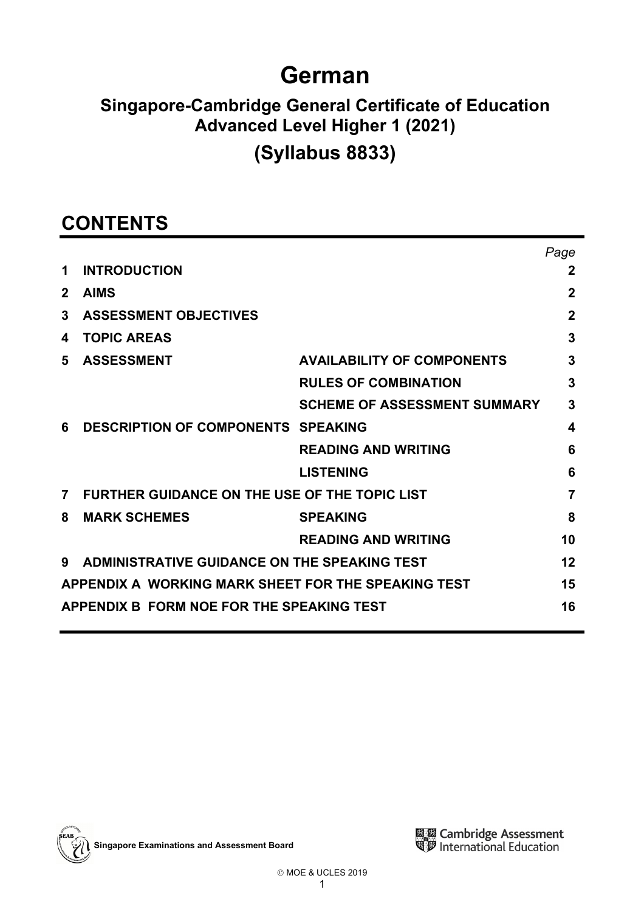# **German**

# **Singapore-Cambridge General Certificate of Education Advanced Level Higher 1 (2021)**

# **(Syllabus 8833)**

# **CONTENTS**

|                                                           |                                                      |                                     | Page        |  |  |  |  |
|-----------------------------------------------------------|------------------------------------------------------|-------------------------------------|-------------|--|--|--|--|
| 1                                                         | <b>INTRODUCTION</b>                                  |                                     | 2           |  |  |  |  |
| $\mathbf{2}$                                              | <b>AIMS</b>                                          |                                     | 2           |  |  |  |  |
| 3                                                         | <b>ASSESSMENT OBJECTIVES</b>                         |                                     | $\mathbf 2$ |  |  |  |  |
| 4                                                         | <b>TOPIC AREAS</b>                                   |                                     | 3           |  |  |  |  |
| 5                                                         | <b>ASSESSMENT</b>                                    | <b>AVAILABILITY OF COMPONENTS</b>   | 3           |  |  |  |  |
|                                                           |                                                      | <b>RULES OF COMBINATION</b>         | 3           |  |  |  |  |
|                                                           |                                                      | <b>SCHEME OF ASSESSMENT SUMMARY</b> | 3           |  |  |  |  |
| 6                                                         | <b>DESCRIPTION OF COMPONENTS SPEAKING</b>            |                                     | 4           |  |  |  |  |
|                                                           |                                                      | <b>READING AND WRITING</b>          | 6           |  |  |  |  |
|                                                           |                                                      | <b>LISTENING</b>                    | 6           |  |  |  |  |
| $\overline{7}$                                            | <b>FURTHER GUIDANCE ON THE USE OF THE TOPIC LIST</b> |                                     | 7           |  |  |  |  |
| 8                                                         | <b>MARK SCHEMES</b>                                  | <b>SPEAKING</b>                     | 8           |  |  |  |  |
|                                                           |                                                      | <b>READING AND WRITING</b>          | 10          |  |  |  |  |
| 9                                                         | ADMINISTRATIVE GUIDANCE ON THE SPEAKING TEST         |                                     | 12          |  |  |  |  |
| APPENDIX A WORKING MARK SHEET FOR THE SPEAKING TEST<br>15 |                                                      |                                     |             |  |  |  |  |
| APPENDIX B FORM NOE FOR THE SPEAKING TEST<br>16           |                                                      |                                     |             |  |  |  |  |

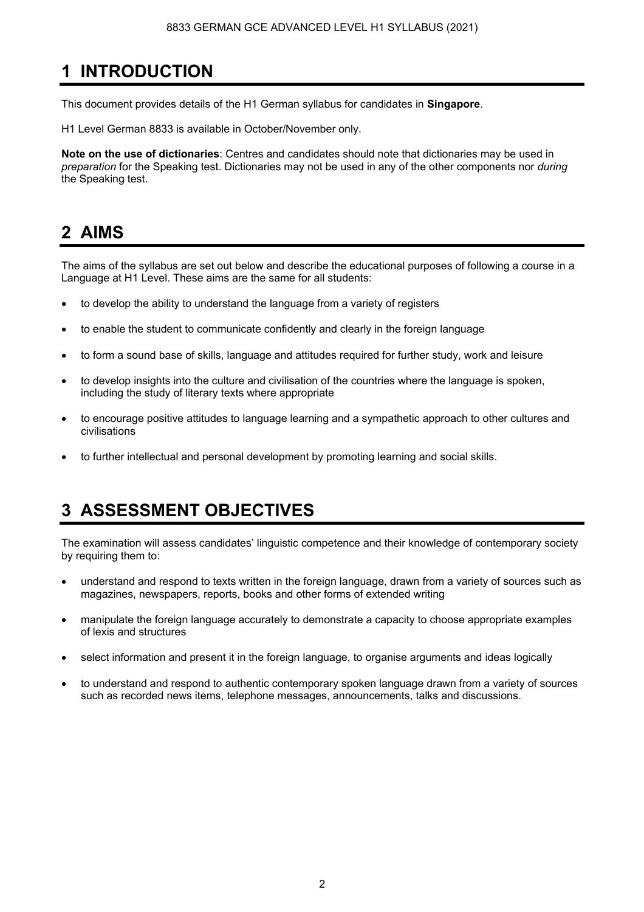# **1 INTRODUCTION**

This document provides details of the H1 German syllabus for candidates in **Singapore**.

H1 Level German 8833 is available in October/November only.

**Note on the use of dictionaries**: Centres and candidates should note that dictionaries may be used in *preparation* for the Speaking test. Dictionaries may not be used in any of the other components nor *during* the Speaking test.

### **2 AIMS**

The aims of the syllabus are set out below and describe the educational purposes of following a course in a Language at H1 Level. These aims are the same for all students:

- to develop the ability to understand the language from a variety of registers
- to enable the student to communicate confidently and clearly in the foreign language
- to form a sound base of skills, language and attitudes required for further study, work and leisure
- to develop insights into the culture and civilisation of the countries where the language is spoken, including the study of literary texts where appropriate
- to encourage positive attitudes to language learning and a sympathetic approach to other cultures and civilisations
- to further intellectual and personal development by promoting learning and social skills.

# **3 ASSESSMENT OBJECTIVES**

The examination will assess candidates' linguistic competence and their knowledge of contemporary society by requiring them to:

- understand and respond to texts written in the foreign language, drawn from a variety of sources such as magazines, newspapers, reports, books and other forms of extended writing
- manipulate the foreign language accurately to demonstrate a capacity to choose appropriate examples of lexis and structures
- select information and present it in the foreign language, to organise arguments and ideas logically
- to understand and respond to authentic contemporary spoken language drawn from a variety of sources such as recorded news items, telephone messages, announcements, talks and discussions.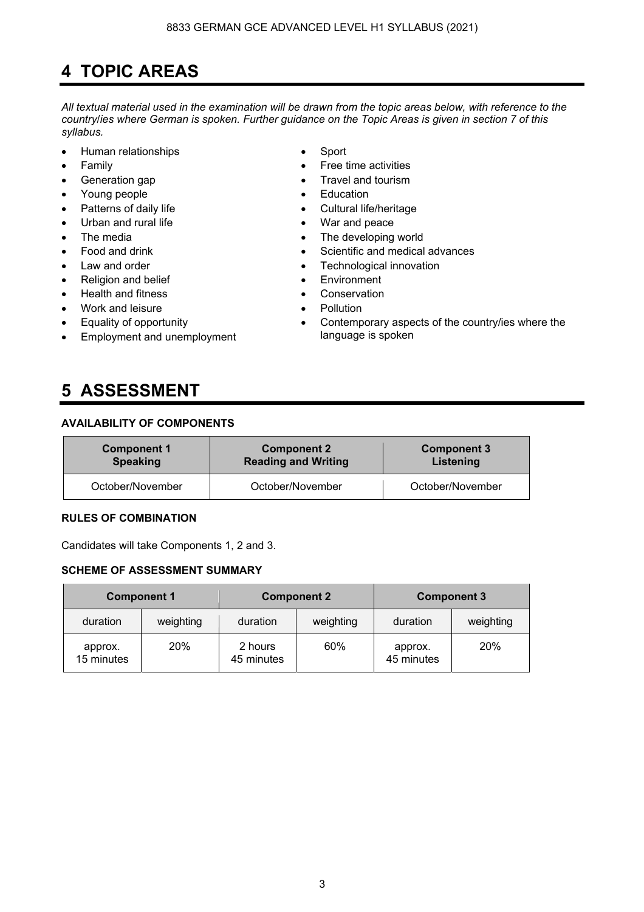# **4 TOPIC AREAS**

*All textual material used in the examination will be drawn from the topic areas below, with reference to the country*/*ies where German is spoken. Further guidance on the Topic Areas is given in section 7 of this syllabus.* 

- Human relationships Sport
- 
- 
- Young people **•** Education
- 
- Urban and rural life **•** War and peace
- 
- 
- 
- Religion and belief **•** Environment
- Health and fitness Conservation
- Work and leisure Pollution
- Equality of opportunity
- Employment and unemployment

### **5 ASSESSMENT**

#### **AVAILABILITY OF COMPONENTS**

| <b>Component 1</b> | <b>Component 2</b>         | <b>Component 3</b> |  |  |  |
|--------------------|----------------------------|--------------------|--|--|--|
| <b>Speaking</b>    | <b>Reading and Writing</b> | Listening          |  |  |  |
| October/November   | October/November           | October/November   |  |  |  |

#### **RULES OF COMBINATION**

Candidates will take Components 1, 2 and 3.

### **SCHEME OF ASSESSMENT SUMMARY**

|                       | <b>Component 1</b> |                       | <b>Component 2</b> | <b>Component 3</b>    |           |  |  |
|-----------------------|--------------------|-----------------------|--------------------|-----------------------|-----------|--|--|
| duration              | weighting          | duration              | weighting          | duration              | weighting |  |  |
| approx.<br>15 minutes | <b>20%</b>         | 2 hours<br>45 minutes | 60%                | approx.<br>45 minutes | 20%       |  |  |

- 
- Family **•** Free time activities
- Generation gap **•** Travel and tourism
	-
	- Patterns of daily life **•** Cultural life/heritage
		-
- The media **•** The developing world
	- Food and drink Scientific and medical advances
- Law and order **•** Technological innovation
	-
	-
	-
	- Contemporary aspects of the country/ies where the language is spoken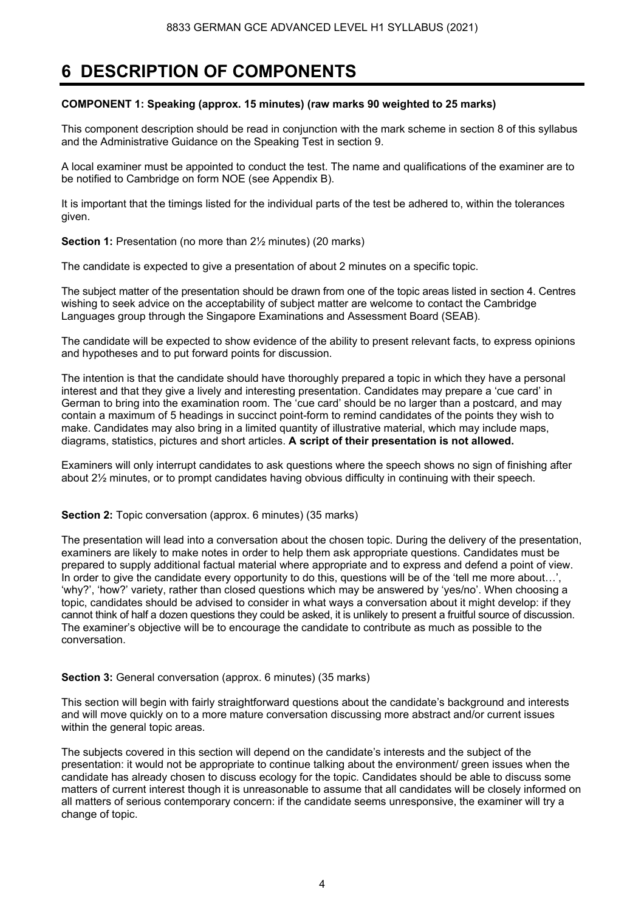### **6 DESCRIPTION OF COMPONENTS**

#### **COMPONENT 1: Speaking (approx. 15 minutes) (raw marks 90 weighted to 25 marks)**

This component description should be read in conjunction with the mark scheme in section 8 of this syllabus and the Administrative Guidance on the Speaking Test in section 9.

A local examiner must be appointed to conduct the test. The name and qualifications of the examiner are to be notified to Cambridge on form NOE (see Appendix B).

It is important that the timings listed for the individual parts of the test be adhered to, within the tolerances given.

**Section 1:** Presentation (no more than  $2\frac{1}{2}$  minutes) (20 marks)

The candidate is expected to give a presentation of about 2 minutes on a specific topic.

The subject matter of the presentation should be drawn from one of the topic areas listed in section 4. Centres wishing to seek advice on the acceptability of subject matter are welcome to contact the Cambridge Languages group through the Singapore Examinations and Assessment Board (SEAB).

The candidate will be expected to show evidence of the ability to present relevant facts, to express opinions and hypotheses and to put forward points for discussion.

The intention is that the candidate should have thoroughly prepared a topic in which they have a personal interest and that they give a lively and interesting presentation. Candidates may prepare a 'cue card' in German to bring into the examination room. The 'cue card' should be no larger than a postcard, and may contain a maximum of 5 headings in succinct point-form to remind candidates of the points they wish to make. Candidates may also bring in a limited quantity of illustrative material, which may include maps, diagrams, statistics, pictures and short articles. **A script of their presentation is not allowed.** 

Examiners will only interrupt candidates to ask questions where the speech shows no sign of finishing after about 2½ minutes, or to prompt candidates having obvious difficulty in continuing with their speech.

#### **Section 2:** Topic conversation (approx. 6 minutes) (35 marks)

The presentation will lead into a conversation about the chosen topic. During the delivery of the presentation, examiners are likely to make notes in order to help them ask appropriate questions. Candidates must be prepared to supply additional factual material where appropriate and to express and defend a point of view. In order to give the candidate every opportunity to do this, questions will be of the 'tell me more about...', 'why?', 'how?' variety, rather than closed questions which may be answered by 'yes/no'. When choosing a topic, candidates should be advised to consider in what ways a conversation about it might develop: if they cannot think of half a dozen questions they could be asked, it is unlikely to present a fruitful source of discussion. The examiner's objective will be to encourage the candidate to contribute as much as possible to the conversation.

#### **Section 3:** General conversation (approx. 6 minutes) (35 marks)

This section will begin with fairly straightforward questions about the candidate's background and interests and will move quickly on to a more mature conversation discussing more abstract and/or current issues within the general topic areas.

The subjects covered in this section will depend on the candidate's interests and the subject of the presentation: it would not be appropriate to continue talking about the environment/ green issues when the candidate has already chosen to discuss ecology for the topic. Candidates should be able to discuss some matters of current interest though it is unreasonable to assume that all candidates will be closely informed on all matters of serious contemporary concern: if the candidate seems unresponsive, the examiner will try a change of topic.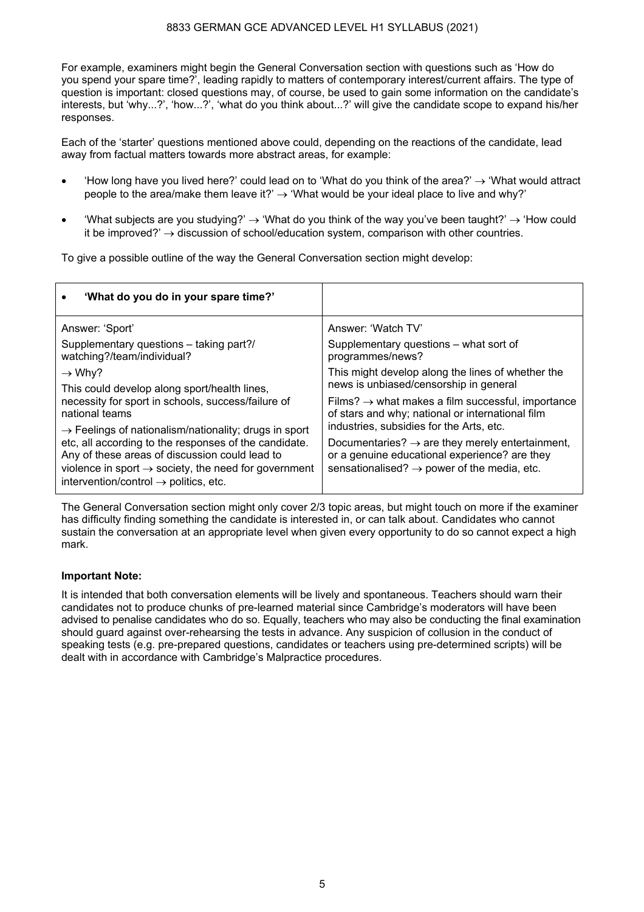For example, examiners might begin the General Conversation section with questions such as 'How do you spend your spare time?', leading rapidly to matters of contemporary interest/current affairs. The type of question is important: closed questions may, of course, be used to gain some information on the candidate's interests, but 'why...?', 'how...?', 'what do you think about...?' will give the candidate scope to expand his/her responses.

Each of the 'starter' questions mentioned above could, depending on the reactions of the candidate, lead away from factual matters towards more abstract areas, for example:

- How long have you lived here?' could lead on to 'What do you think of the area?'  $\rightarrow$  'What would attract people to the area/make them leave it?'  $\rightarrow$  'What would be your ideal place to live and why?'
- 'What subjects are you studying?' → 'What do you think of the way you've been taught?' → 'How could it be improved?'  $\rightarrow$  discussion of school/education system, comparison with other countries.

To give a possible outline of the way the General Conversation section might develop:

| 'What do you do in your spare time?'                                                                                                                                                                                                                                                                  |                                                                                                                                                                                                                     |  |  |  |  |
|-------------------------------------------------------------------------------------------------------------------------------------------------------------------------------------------------------------------------------------------------------------------------------------------------------|---------------------------------------------------------------------------------------------------------------------------------------------------------------------------------------------------------------------|--|--|--|--|
| Answer: 'Sport'                                                                                                                                                                                                                                                                                       | Answer: 'Watch TV'                                                                                                                                                                                                  |  |  |  |  |
| Supplementary questions - taking part?/<br>watching?/team/individual?                                                                                                                                                                                                                                 | Supplementary questions – what sort of<br>programmes/news?                                                                                                                                                          |  |  |  |  |
| $\rightarrow$ Why?                                                                                                                                                                                                                                                                                    | This might develop along the lines of whether the                                                                                                                                                                   |  |  |  |  |
| This could develop along sport/health lines,<br>necessity for sport in schools, success/failure of<br>national teams                                                                                                                                                                                  | news is unbiased/censorship in general<br>Films? $\rightarrow$ what makes a film successful, importance<br>of stars and why; national or international film                                                         |  |  |  |  |
| $\rightarrow$ Feelings of nationalism/nationality; drugs in sport<br>etc, all according to the responses of the candidate.<br>Any of these areas of discussion could lead to<br>violence in sport $\rightarrow$ society, the need for government<br>intervention/control $\rightarrow$ politics, etc. | industries, subsidies for the Arts, etc.<br>Documentaries? $\rightarrow$ are they merely entertainment,<br>or a genuine educational experience? are they<br>sensationalised? $\rightarrow$ power of the media, etc. |  |  |  |  |

The General Conversation section might only cover 2/3 topic areas, but might touch on more if the examiner has difficulty finding something the candidate is interested in, or can talk about. Candidates who cannot sustain the conversation at an appropriate level when given every opportunity to do so cannot expect a high mark.

#### **Important Note:**

It is intended that both conversation elements will be lively and spontaneous. Teachers should warn their candidates not to produce chunks of pre-learned material since Cambridge's moderators will have been advised to penalise candidates who do so. Equally, teachers who may also be conducting the final examination should guard against over-rehearsing the tests in advance. Any suspicion of collusion in the conduct of speaking tests (e.g. pre-prepared questions, candidates or teachers using pre-determined scripts) will be dealt with in accordance with Cambridge's Malpractice procedures.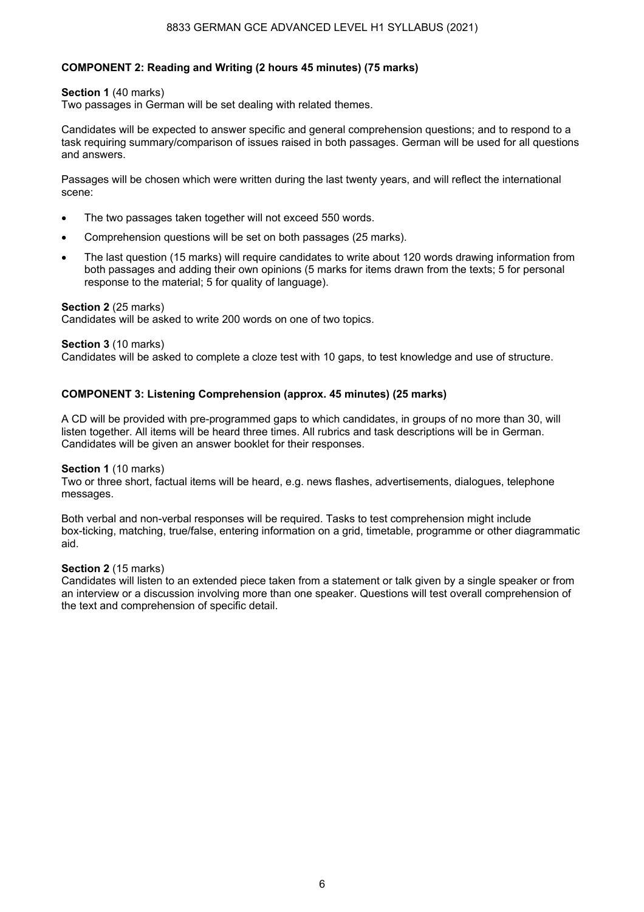#### 8833 GERMAN GCE ADVANCED LEVEL H1 SYLLABUS (2021)

#### **COMPONENT 2: Reading and Writing (2 hours 45 minutes) (75 marks)**

#### **Section 1** (40 marks)

Two passages in German will be set dealing with related themes.

Candidates will be expected to answer specific and general comprehension questions; and to respond to a task requiring summary/comparison of issues raised in both passages. German will be used for all questions and answers.

Passages will be chosen which were written during the last twenty years, and will reflect the international scene:

- The two passages taken together will not exceed 550 words.
- Comprehension questions will be set on both passages (25 marks).
- The last question (15 marks) will require candidates to write about 120 words drawing information from both passages and adding their own opinions (5 marks for items drawn from the texts; 5 for personal response to the material; 5 for quality of language).

#### **Section 2** (25 marks)

Candidates will be asked to write 200 words on one of two topics.

#### **Section 3** (10 marks)

Candidates will be asked to complete a cloze test with 10 gaps, to test knowledge and use of structure.

#### **COMPONENT 3: Listening Comprehension (approx. 45 minutes) (25 marks)**

A CD will be provided with pre-programmed gaps to which candidates, in groups of no more than 30, will listen together. All items will be heard three times. All rubrics and task descriptions will be in German. Candidates will be given an answer booklet for their responses.

#### **Section 1** (10 marks)

Two or three short, factual items will be heard, e.g. news flashes, advertisements, dialogues, telephone messages.

Both verbal and non-verbal responses will be required. Tasks to test comprehension might include box-ticking, matching, true/false, entering information on a grid, timetable, programme or other diagrammatic aid.

#### **Section 2** (15 marks)

Candidates will listen to an extended piece taken from a statement or talk given by a single speaker or from an interview or a discussion involving more than one speaker. Questions will test overall comprehension of the text and comprehension of specific detail.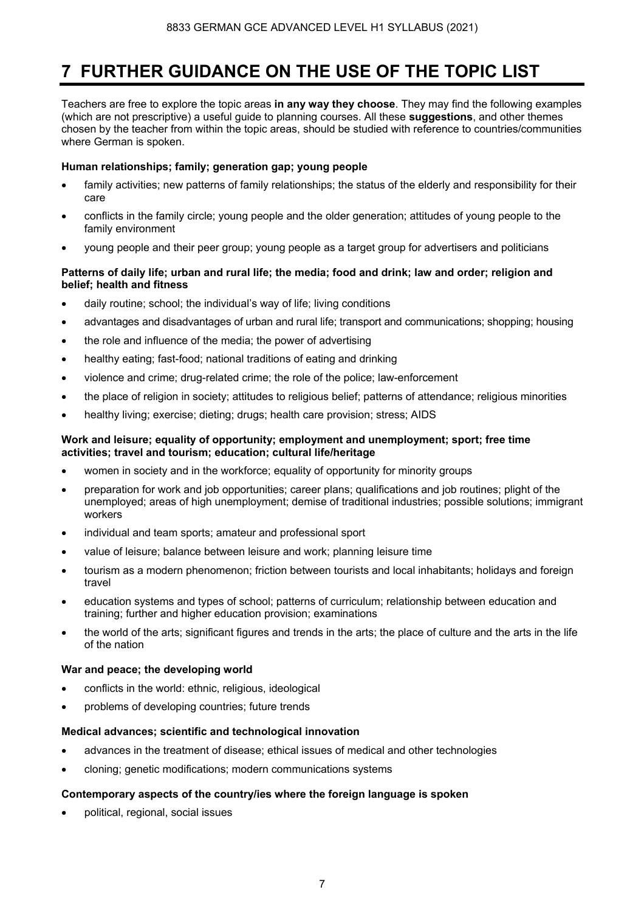# **7 FURTHER GUIDANCE ON THE USE OF THE TOPIC LIST**

Teachers are free to explore the topic areas **in any way they choose**. They may find the following examples (which are not prescriptive) a useful guide to planning courses. All these **suggestions**, and other themes chosen by the teacher from within the topic areas, should be studied with reference to countries/communities where German is spoken.

### **Human relationships; family; generation gap; young people**

- family activities; new patterns of family relationships; the status of the elderly and responsibility for their care
- conflicts in the family circle; young people and the older generation; attitudes of young people to the family environment
- young people and their peer group; young people as a target group for advertisers and politicians

#### **Patterns of daily life; urban and rural life; the media; food and drink; law and order; religion and belief; health and fitness**

- daily routine; school; the individual's way of life; living conditions
- advantages and disadvantages of urban and rural life; transport and communications; shopping; housing
- the role and influence of the media; the power of advertising
- healthy eating; fast-food; national traditions of eating and drinking
- violence and crime; drug-related crime; the role of the police; law-enforcement
- the place of religion in society; attitudes to religious belief; patterns of attendance; religious minorities
- healthy living; exercise; dieting; drugs; health care provision; stress; AIDS

#### **Work and leisure; equality of opportunity; employment and unemployment; sport; free time activities; travel and tourism; education; cultural life/heritage**

- women in society and in the workforce; equality of opportunity for minority groups
- preparation for work and job opportunities; career plans; qualifications and job routines; plight of the unemployed; areas of high unemployment; demise of traditional industries; possible solutions; immigrant workers
- individual and team sports; amateur and professional sport
- value of leisure; balance between leisure and work; planning leisure time
- tourism as a modern phenomenon; friction between tourists and local inhabitants; holidays and foreign travel
- education systems and types of school; patterns of curriculum; relationship between education and training; further and higher education provision; examinations
- the world of the arts; significant figures and trends in the arts; the place of culture and the arts in the life of the nation

#### **War and peace; the developing world**

- conflicts in the world: ethnic, religious, ideological
- problems of developing countries; future trends

#### **Medical advances; scientific and technological innovation**

- advances in the treatment of disease; ethical issues of medical and other technologies
- cloning; genetic modifications; modern communications systems

### **Contemporary aspects of the country/ies where the foreign language is spoken**

• political, regional, social issues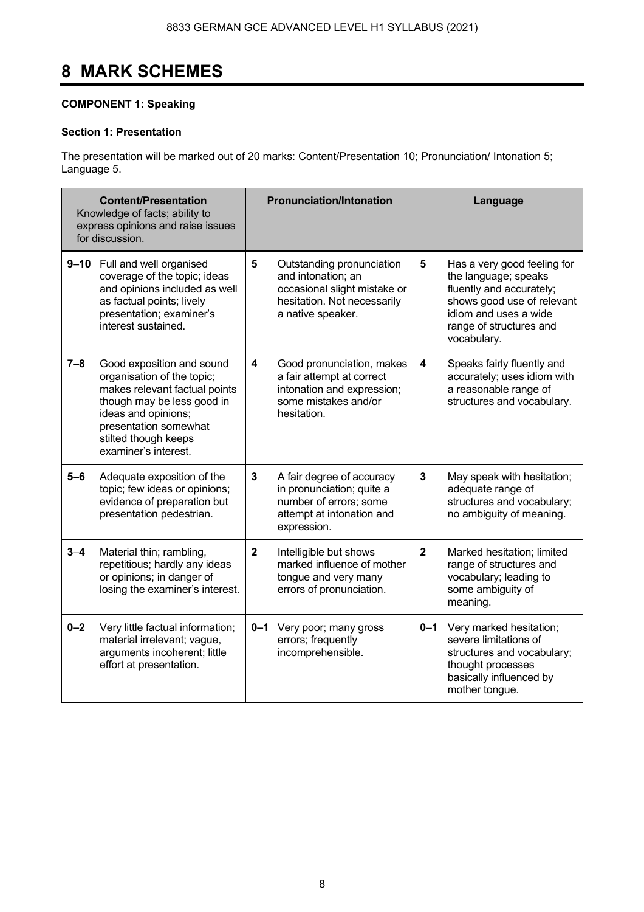# **8 MARK SCHEMES**

### **COMPONENT 1: Speaking**

#### **Section 1: Presentation**

The presentation will be marked out of 20 marks: Content/Presentation 10; Pronunciation/ Intonation 5; Language 5.

|         | <b>Content/Presentation</b><br>Knowledge of facts; ability to<br>express opinions and raise issues<br>for discussion.                                                                                                  |                | <b>Pronunciation/Intonation</b>                                                                                                     | Language       |                                                                                                                                                                                  |  |  |
|---------|------------------------------------------------------------------------------------------------------------------------------------------------------------------------------------------------------------------------|----------------|-------------------------------------------------------------------------------------------------------------------------------------|----------------|----------------------------------------------------------------------------------------------------------------------------------------------------------------------------------|--|--|
|         | 9-10 Full and well organised<br>coverage of the topic; ideas<br>and opinions included as well<br>as factual points; lively<br>presentation; examiner's<br>interest sustained.                                          | 5              | Outstanding pronunciation<br>and intonation; an<br>occasional slight mistake or<br>hesitation. Not necessarily<br>a native speaker. | 5              | Has a very good feeling for<br>the language; speaks<br>fluently and accurately;<br>shows good use of relevant<br>idiom and uses a wide<br>range of structures and<br>vocabulary. |  |  |
| $7 - 8$ | Good exposition and sound<br>organisation of the topic;<br>makes relevant factual points<br>though may be less good in<br>ideas and opinions;<br>presentation somewhat<br>stilted though keeps<br>examiner's interest. | 4              | Good pronunciation, makes<br>a fair attempt at correct<br>intonation and expression;<br>some mistakes and/or<br>hesitation.         | 4              | Speaks fairly fluently and<br>accurately; uses idiom with<br>a reasonable range of<br>structures and vocabulary.                                                                 |  |  |
| $5 - 6$ | Adequate exposition of the<br>topic; few ideas or opinions;<br>evidence of preparation but<br>presentation pedestrian.                                                                                                 | $\mathbf{3}$   | A fair degree of accuracy<br>in pronunciation; quite a<br>number of errors; some<br>attempt at intonation and<br>expression.        | $\mathbf{3}$   | May speak with hesitation;<br>adequate range of<br>structures and vocabulary;<br>no ambiguity of meaning.                                                                        |  |  |
| $3 - 4$ | Material thin; rambling,<br>repetitious; hardly any ideas<br>or opinions; in danger of<br>losing the examiner's interest.                                                                                              | $\overline{2}$ | Intelligible but shows<br>marked influence of mother<br>tongue and very many<br>errors of pronunciation.                            | $\overline{2}$ | Marked hesitation; limited<br>range of structures and<br>vocabulary; leading to<br>some ambiguity of<br>meaning.                                                                 |  |  |
| $0 - 2$ | Very little factual information;<br>material irrelevant; vague,<br>arguments incoherent; little<br>effort at presentation.                                                                                             |                | 0-1 Very poor; many gross<br>errors; frequently<br>incomprehensible.                                                                |                | 0-1 Very marked hesitation;<br>severe limitations of<br>structures and vocabulary;<br>thought processes<br>basically influenced by<br>mother tongue.                             |  |  |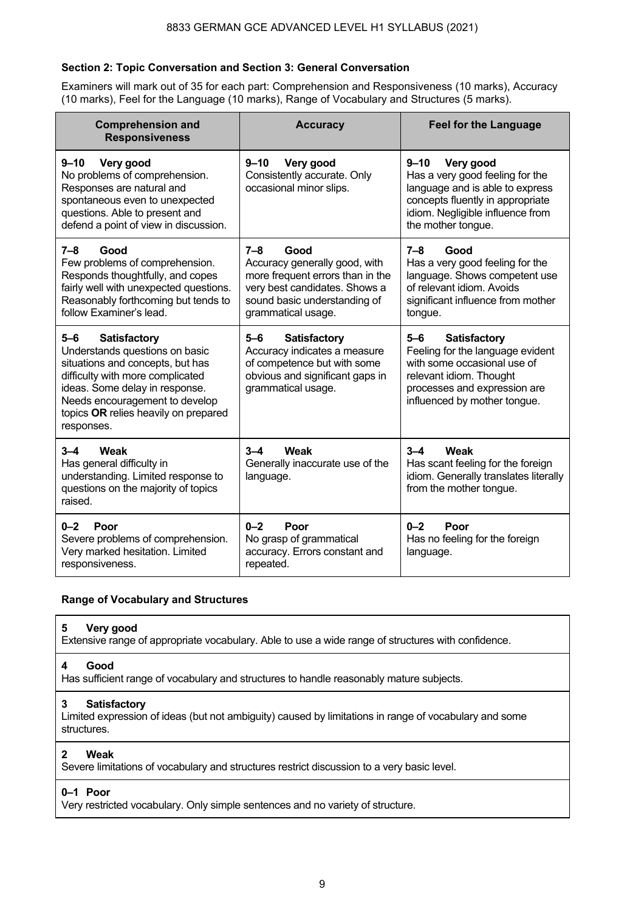#### **Section 2: Topic Conversation and Section 3: General Conversation**

Examiners will mark out of 35 for each part: Comprehension and Responsiveness (10 marks), Accuracy (10 marks), Feel for the Language (10 marks), Range of Vocabulary and Structures (5 marks).

| <b>Comprehension and</b><br><b>Responsiveness</b>                                                                                                                                                                                                                  | <b>Accuracy</b>                                                                                                                                                         | <b>Feel for the Language</b>                                                                                                                                                               |
|--------------------------------------------------------------------------------------------------------------------------------------------------------------------------------------------------------------------------------------------------------------------|-------------------------------------------------------------------------------------------------------------------------------------------------------------------------|--------------------------------------------------------------------------------------------------------------------------------------------------------------------------------------------|
| $9 - 10$<br>Very good<br>No problems of comprehension.<br>Responses are natural and<br>spontaneous even to unexpected<br>questions. Able to present and<br>defend a point of view in discussion.                                                                   | $9 - 10$<br>Very good<br>Consistently accurate. Only<br>occasional minor slips.                                                                                         | $9 - 10$<br>Very good<br>Has a very good feeling for the<br>language and is able to express<br>concepts fluently in appropriate<br>idiom. Negligible influence from<br>the mother tongue.  |
| Good<br>$7 - 8$<br>Few problems of comprehension.<br>Responds thoughtfully, and copes<br>fairly well with unexpected questions.<br>Reasonably forthcoming but tends to<br>follow Examiner's lead.                                                                  | 7–8<br>Good<br>Accuracy generally good, with<br>more frequent errors than in the<br>very best candidates. Shows a<br>sound basic understanding of<br>grammatical usage. | 7–8<br>Good<br>Has a very good feeling for the<br>language. Shows competent use<br>of relevant idiom. Avoids<br>significant influence from mother<br>tongue.                               |
| <b>Satisfactory</b><br>$5 - 6$<br>Understands questions on basic<br>situations and concepts, but has<br>difficulty with more complicated<br>ideas. Some delay in response.<br>Needs encouragement to develop<br>topics OR relies heavily on prepared<br>responses. | <b>Satisfactory</b><br>$5 - 6$<br>Accuracy indicates a measure<br>of competence but with some<br>obvious and significant gaps in<br>grammatical usage.                  | $5-6$<br><b>Satisfactory</b><br>Feeling for the language evident<br>with some occasional use of<br>relevant idiom. Thought<br>processes and expression are<br>influenced by mother tongue. |
| $3 - 4$<br>Weak<br>Has general difficulty in<br>understanding. Limited response to<br>questions on the majority of topics<br>raised.                                                                                                                               | Weak<br>$3 - 4$<br>Generally inaccurate use of the<br>language.                                                                                                         | Weak<br>$3 - 4$<br>Has scant feeling for the foreign<br>idiom. Generally translates literally<br>from the mother tongue.                                                                   |
| $0 - 2$<br>Poor<br>Severe problems of comprehension.<br>Very marked hesitation. Limited<br>responsiveness.                                                                                                                                                         | $0 - 2$<br>Poor<br>No grasp of grammatical<br>accuracy. Errors constant and<br>repeated.                                                                                | $0 - 2$<br>Poor<br>Has no feeling for the foreign<br>language.                                                                                                                             |

### **Range of Vocabulary and Structures**

#### **5 Very good**

Extensive range of appropriate vocabulary. Able to use a wide range of structures with confidence.

#### **4 Good**

Has sufficient range of vocabulary and structures to handle reasonably mature subjects.

#### **3 Satisfactory**

Limited expression of ideas (but not ambiguity) caused by limitations in range of vocabulary and some structures.

#### **2 Weak**

Severe limitations of vocabulary and structures restrict discussion to a very basic level.

### **0–1 Poor**

Very restricted vocabulary. Only simple sentences and no variety of structure.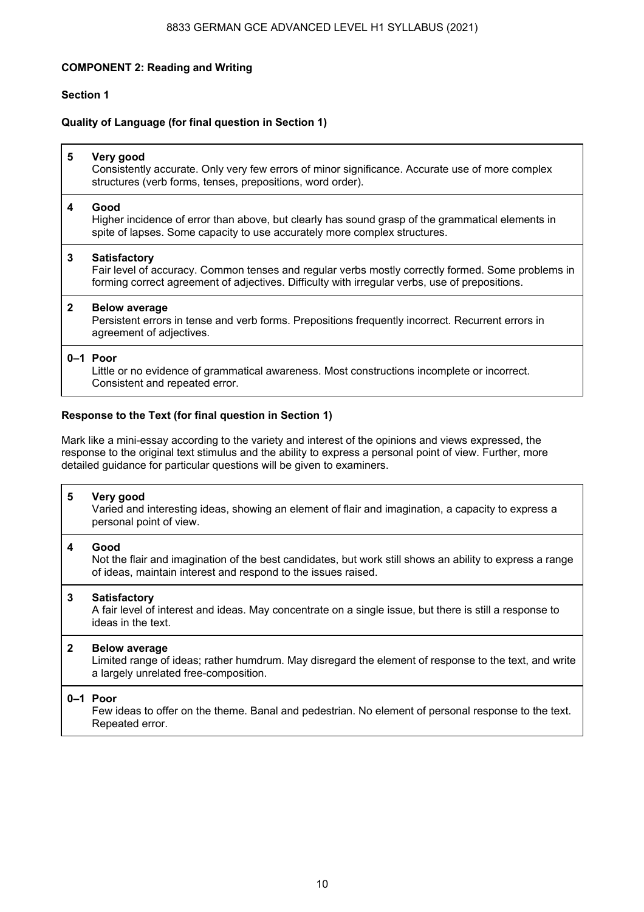#### 8833 GERMAN GCE ADVANCED LEVEL H1 SYLLABUS (2021)

#### **COMPONENT 2: Reading and Writing**

#### **Section 1**

#### **Quality of Language (for final question in Section 1)**

| 5            | Very good<br>Consistently accurate. Only very few errors of minor significance. Accurate use of more complex<br>structures (verb forms, tenses, prepositions, word order).                                                 |
|--------------|----------------------------------------------------------------------------------------------------------------------------------------------------------------------------------------------------------------------------|
| 4            | Good<br>Higher incidence of error than above, but clearly has sound grasp of the grammatical elements in<br>spite of lapses. Some capacity to use accurately more complex structures.                                      |
| 3            | <b>Satisfactory</b><br>Fair level of accuracy. Common tenses and regular verbs mostly correctly formed. Some problems in<br>forming correct agreement of adjectives. Difficulty with irregular verbs, use of prepositions. |
| $\mathbf{2}$ | <b>Below average</b><br>Persistent errors in tense and verb forms. Prepositions frequently incorrect. Recurrent errors in<br>agreement of adjectives.                                                                      |
|              | $0-1$ Poor<br>Little or no evidence of grammatical awareness. Most constructions incomplete or incorrect.<br>Consistent and repeated error.                                                                                |

#### **Response to the Text (for final question in Section 1)**

Mark like a mini-essay according to the variety and interest of the opinions and views expressed, the response to the original text stimulus and the ability to express a personal point of view. Further, more detailed guidance for particular questions will be given to examiners.

#### **5 Very good**

 Varied and interesting ideas, showing an element of flair and imagination, a capacity to express a personal point of view.

#### **4 Good**  Not the flair and imagination of the best candidates, but work still shows an ability to express a range of ideas, maintain interest and respond to the issues raised.

#### **3 Satisfactory**

 A fair level of interest and ideas. May concentrate on a single issue, but there is still a response to ideas in the text.

#### **2 Below average**

 Limited range of ideas; rather humdrum. May disregard the element of response to the text, and write a largely unrelated free-composition.

#### **0–1 Poor**

 Few ideas to offer on the theme. Banal and pedestrian. No element of personal response to the text. Repeated error.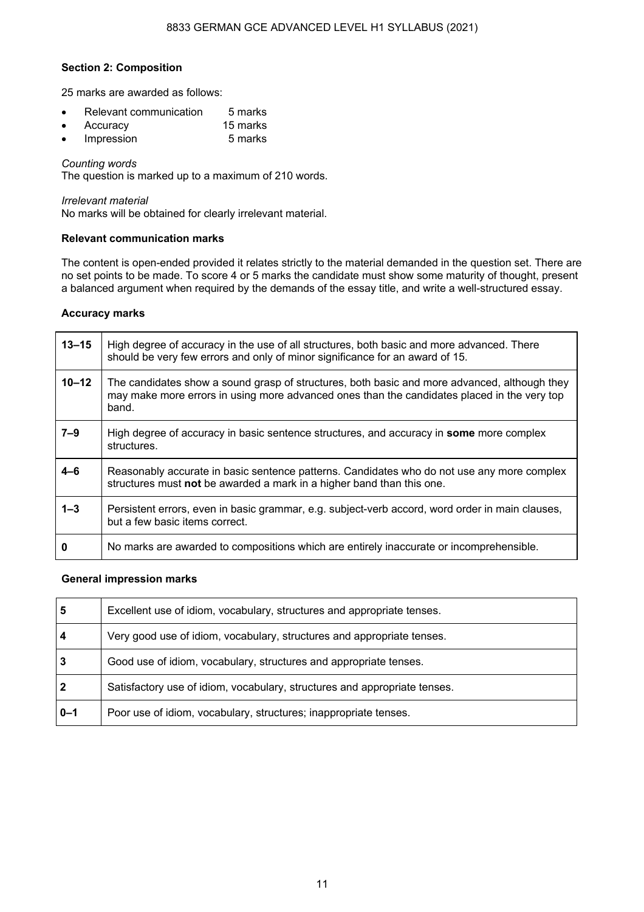#### **Section 2: Composition**

25 marks are awarded as follows:

- Relevant communication 5 marks
- Accuracy 15 marks
- $\cdot$  Impression

#### *Counting words*

The question is marked up to a maximum of 210 words.

#### *Irrelevant material*

No marks will be obtained for clearly irrelevant material.

#### **Relevant communication marks**

The content is open-ended provided it relates strictly to the material demanded in the question set. There are no set points to be made. To score 4 or 5 marks the candidate must show some maturity of thought, present a balanced argument when required by the demands of the essay title, and write a well-structured essay.

#### **Accuracy marks**

| $13 - 15$ | High degree of accuracy in the use of all structures, both basic and more advanced. There<br>should be very few errors and only of minor significance for an award of 15.                            |
|-----------|------------------------------------------------------------------------------------------------------------------------------------------------------------------------------------------------------|
| $10 - 12$ | The candidates show a sound grasp of structures, both basic and more advanced, although they<br>may make more errors in using more advanced ones than the candidates placed in the very top<br>band. |
| $7 - 9$   | High degree of accuracy in basic sentence structures, and accuracy in <b>some</b> more complex<br>structures.                                                                                        |
| 4–6       | Reasonably accurate in basic sentence patterns. Candidates who do not use any more complex<br>structures must not be awarded a mark in a higher band than this one.                                  |
| $1 - 3$   | Persistent errors, even in basic grammar, e.g. subject-verb accord, word order in main clauses,<br>but a few basic items correct.                                                                    |
| 0         | No marks are awarded to compositions which are entirely inaccurate or incomprehensible.                                                                                                              |

#### **General impression marks**

| 5                       | Excellent use of idiom, vocabulary, structures and appropriate tenses.    |
|-------------------------|---------------------------------------------------------------------------|
| $\overline{\mathbf{4}}$ | Very good use of idiom, vocabulary, structures and appropriate tenses.    |
| 3                       | Good use of idiom, vocabulary, structures and appropriate tenses.         |
| $\overline{2}$          | Satisfactory use of idiom, vocabulary, structures and appropriate tenses. |
| $\overline{0}$ -1       | Poor use of idiom, vocabulary, structures; inappropriate tenses.          |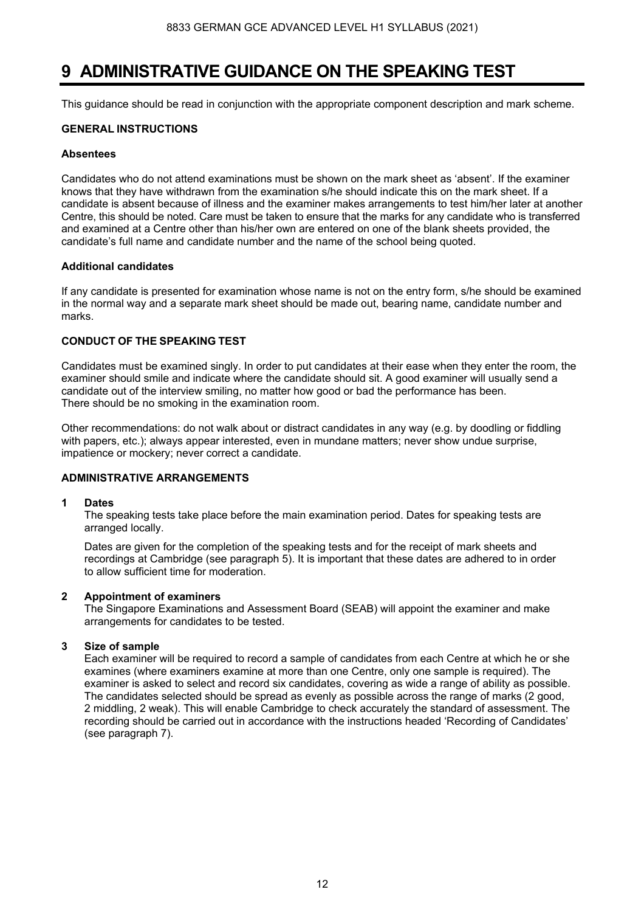### **9 ADMINISTRATIVE GUIDANCE ON THE SPEAKING TEST**

This guidance should be read in conjunction with the appropriate component description and mark scheme.

#### **GENERAL INSTRUCTIONS**

#### **Absentees**

Candidates who do not attend examinations must be shown on the mark sheet as 'absent'. If the examiner knows that they have withdrawn from the examination s/he should indicate this on the mark sheet. If a candidate is absent because of illness and the examiner makes arrangements to test him/her later at another Centre, this should be noted. Care must be taken to ensure that the marks for any candidate who is transferred and examined at a Centre other than his/her own are entered on one of the blank sheets provided, the candidate's full name and candidate number and the name of the school being quoted.

#### **Additional candidates**

If any candidate is presented for examination whose name is not on the entry form, s/he should be examined in the normal way and a separate mark sheet should be made out, bearing name, candidate number and marks.

#### **CONDUCT OF THE SPEAKING TEST**

Candidates must be examined singly. In order to put candidates at their ease when they enter the room, the examiner should smile and indicate where the candidate should sit. A good examiner will usually send a candidate out of the interview smiling, no matter how good or bad the performance has been. There should be no smoking in the examination room.

Other recommendations: do not walk about or distract candidates in any way (e.g. by doodling or fiddling with papers, etc.); always appear interested, even in mundane matters; never show undue surprise, impatience or mockery; never correct a candidate.

#### **ADMINISTRATIVE ARRANGEMENTS**

#### **1 Dates**

 The speaking tests take place before the main examination period. Dates for speaking tests are arranged locally.

 Dates are given for the completion of the speaking tests and for the receipt of mark sheets and recordings at Cambridge (see paragraph 5). It is important that these dates are adhered to in order to allow sufficient time for moderation.

#### **2 Appointment of examiners**

 The Singapore Examinations and Assessment Board (SEAB) will appoint the examiner and make arrangements for candidates to be tested.

#### **3 Size of sample**

 Each examiner will be required to record a sample of candidates from each Centre at which he or she examines (where examiners examine at more than one Centre, only one sample is required). The examiner is asked to select and record six candidates, covering as wide a range of ability as possible. The candidates selected should be spread as evenly as possible across the range of marks (2 good, 2 middling, 2 weak). This will enable Cambridge to check accurately the standard of assessment. The recording should be carried out in accordance with the instructions headed 'Recording of Candidates' (see paragraph 7).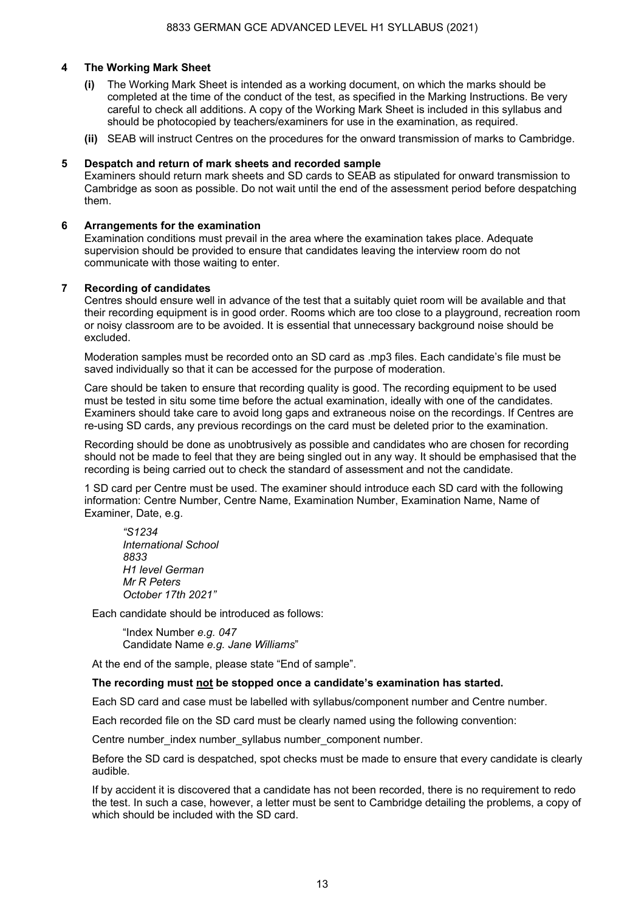#### **4 The Working Mark Sheet**

- **(i)** The Working Mark Sheet is intended as a working document, on which the marks should be completed at the time of the conduct of the test, as specified in the Marking Instructions. Be very careful to check all additions. A copy of the Working Mark Sheet is included in this syllabus and should be photocopied by teachers/examiners for use in the examination, as required.
- **(ii)** SEAB will instruct Centres on the procedures for the onward transmission of marks to Cambridge.

#### **5 Despatch and return of mark sheets and recorded sample**

Examiners should return mark sheets and SD cards to SEAB as stipulated for onward transmission to Cambridge as soon as possible. Do not wait until the end of the assessment period before despatching them.

#### **6 Arrangements for the examination**

Examination conditions must prevail in the area where the examination takes place. Adequate supervision should be provided to ensure that candidates leaving the interview room do not communicate with those waiting to enter.

#### **7 Recording of candidates**

Centres should ensure well in advance of the test that a suitably quiet room will be available and that their recording equipment is in good order. Rooms which are too close to a playground, recreation room or noisy classroom are to be avoided. It is essential that unnecessary background noise should be excluded.

Moderation samples must be recorded onto an SD card as .mp3 files. Each candidate's file must be saved individually so that it can be accessed for the purpose of moderation.

Care should be taken to ensure that recording quality is good. The recording equipment to be used must be tested in situ some time before the actual examination, ideally with one of the candidates. Examiners should take care to avoid long gaps and extraneous noise on the recordings. If Centres are re-using SD cards, any previous recordings on the card must be deleted prior to the examination.

Recording should be done as unobtrusively as possible and candidates who are chosen for recording should not be made to feel that they are being singled out in any way. It should be emphasised that the recording is being carried out to check the standard of assessment and not the candidate.

1 SD card per Centre must be used. The examiner should introduce each SD card with the following information: Centre Number, Centre Name, Examination Number, Examination Name, Name of Examiner, Date, e.g.

*"S1234 International School 8833 H1 level German Mr R Peters October 17th 2021"*

Each candidate should be introduced as follows:

"Index Number *e.g. 047* Candidate Name *e.g. Jane Williams*"

At the end of the sample, please state "End of sample".

#### **The recording must not be stopped once a candidate's examination has started.**

Each SD card and case must be labelled with syllabus/component number and Centre number.

Each recorded file on the SD card must be clearly named using the following convention:

Centre number index number syllabus number component number.

Before the SD card is despatched, spot checks must be made to ensure that every candidate is clearly audible.

If by accident it is discovered that a candidate has not been recorded, there is no requirement to redo the test. In such a case, however, a letter must be sent to Cambridge detailing the problems, a copy of which should be included with the SD card.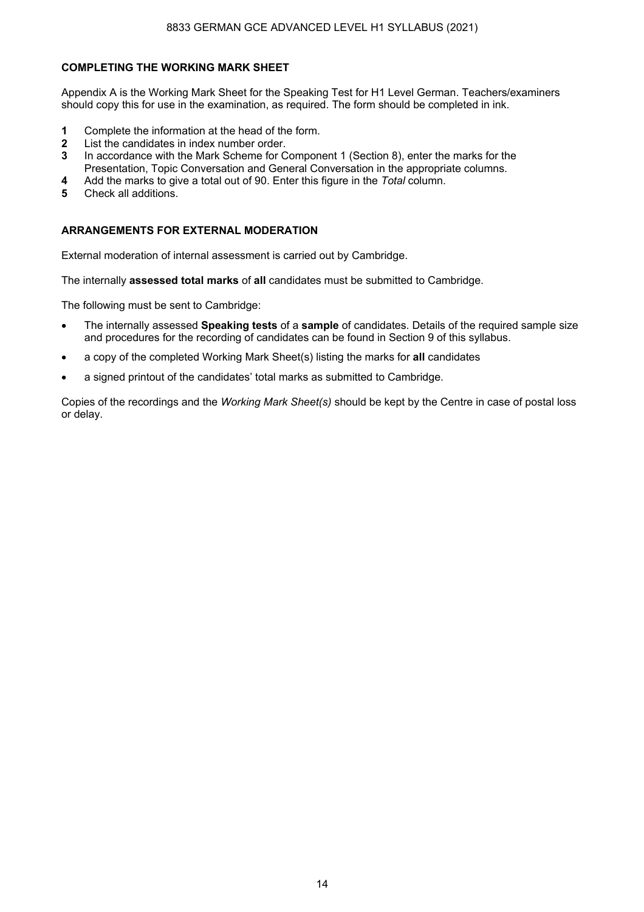#### **COMPLETING THE WORKING MARK SHEET**

Appendix A is the Working Mark Sheet for the Speaking Test for H1 Level German. Teachers/examiners should copy this for use in the examination, as required. The form should be completed in ink.

- **1** Complete the information at the head of the form.
- **2** List the candidates in index number order.
- **3** In accordance with the Mark Scheme for Component 1 (Section 8), enter the marks for the Presentation, Topic Conversation and General Conversation in the appropriate columns.
- **4** Add the marks to give a total out of 90. Enter this figure in the *Total* column.
- **5** Check all additions.

#### **ARRANGEMENTS FOR EXTERNAL MODERATION**

External moderation of internal assessment is carried out by Cambridge.

The internally **assessed total marks** of **all** candidates must be submitted to Cambridge.

The following must be sent to Cambridge:

- The internally assessed **Speaking tests** of a **sample** of candidates. Details of the required sample size and procedures for the recording of candidates can be found in Section 9 of this syllabus.
- a copy of the completed Working Mark Sheet(s) listing the marks for **all** candidates
- a signed printout of the candidates' total marks as submitted to Cambridge.

Copies of the recordings and the *Working Mark Sheet(s)* should be kept by the Centre in case of postal loss or delay.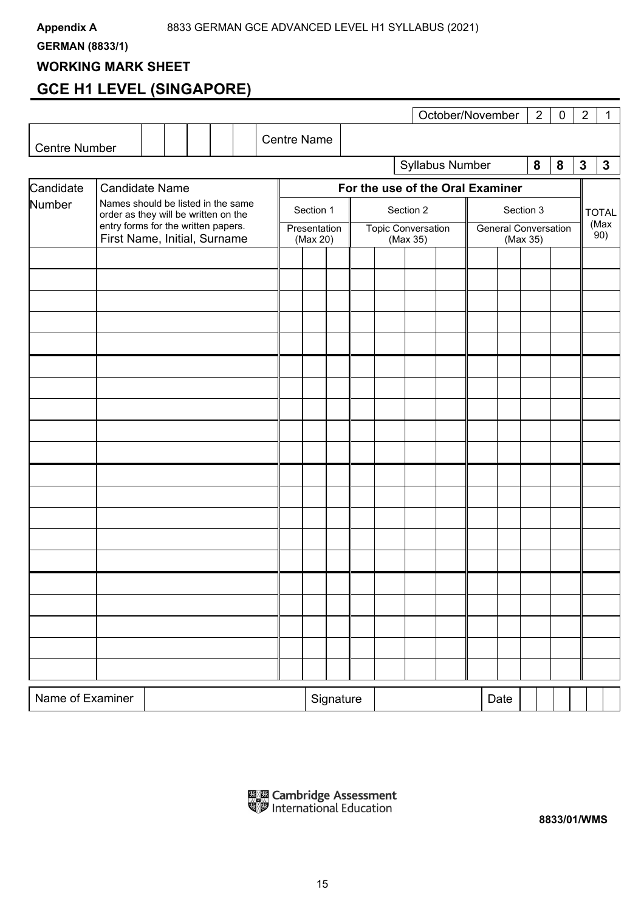**GERMAN (8833/1)** 

### **WORKING MARK SHEET**

### **GCE H1 LEVEL (SINGAPORE)**

|                      |                                                                            |  |  |  |           |  |                    |                                  |              |           |  |   |                           | October/November |              |                             |          | $\overline{2}$ | $\pmb{0}$ | $\overline{2}$ | 1           |
|----------------------|----------------------------------------------------------------------------|--|--|--|-----------|--|--------------------|----------------------------------|--------------|-----------|--|---|---------------------------|------------------|--------------|-----------------------------|----------|----------------|-----------|----------------|-------------|
| <b>Centre Number</b> |                                                                            |  |  |  |           |  | <b>Centre Name</b> |                                  |              |           |  |   |                           |                  |              |                             |          |                |           |                |             |
|                      |                                                                            |  |  |  |           |  | Syllabus Number    |                                  |              |           |  | 8 | 8                         | $\mathbf 3$      | $\mathbf{3}$ |                             |          |                |           |                |             |
| Candidate            | <b>Candidate Name</b>                                                      |  |  |  |           |  |                    | For the use of the Oral Examiner |              |           |  |   |                           |                  |              |                             |          |                |           |                |             |
| Number               | Names should be listed in the same<br>order as they will be written on the |  |  |  | Section 1 |  |                    |                                  |              | Section 2 |  |   |                           | Section 3        |              |                             |          | <b>TOTAL</b>   |           |                |             |
|                      | entry forms for the written papers.                                        |  |  |  |           |  |                    |                                  | Presentation |           |  |   | <b>Topic Conversation</b> |                  |              | <b>General Conversation</b> |          |                |           |                | (Max<br>90) |
|                      | First Name, Initial, Surname                                               |  |  |  |           |  |                    |                                  | (Max 20)     |           |  |   | (Max 35)                  |                  |              |                             | (Max 35) |                |           |                |             |
|                      |                                                                            |  |  |  |           |  |                    |                                  |              |           |  |   |                           |                  |              |                             |          |                |           |                |             |
|                      |                                                                            |  |  |  |           |  |                    |                                  |              |           |  |   |                           |                  |              |                             |          |                |           |                |             |
|                      |                                                                            |  |  |  |           |  |                    |                                  |              |           |  |   |                           |                  |              |                             |          |                |           |                |             |
|                      |                                                                            |  |  |  |           |  |                    |                                  |              |           |  |   |                           |                  |              |                             |          |                |           |                |             |
|                      |                                                                            |  |  |  |           |  |                    |                                  |              |           |  |   |                           |                  |              |                             |          |                |           |                |             |
|                      |                                                                            |  |  |  |           |  |                    |                                  |              |           |  |   |                           |                  |              |                             |          |                |           |                |             |
|                      |                                                                            |  |  |  |           |  |                    |                                  |              |           |  |   |                           |                  |              |                             |          |                |           |                |             |
|                      |                                                                            |  |  |  |           |  |                    |                                  |              |           |  |   |                           |                  |              |                             |          |                |           |                |             |
|                      |                                                                            |  |  |  |           |  |                    |                                  |              |           |  |   |                           |                  |              |                             |          |                |           |                |             |
|                      |                                                                            |  |  |  |           |  |                    |                                  |              |           |  |   |                           |                  |              |                             |          |                |           |                |             |
|                      |                                                                            |  |  |  |           |  |                    |                                  |              |           |  |   |                           |                  |              |                             |          |                |           |                |             |
|                      |                                                                            |  |  |  |           |  |                    |                                  |              |           |  |   |                           |                  |              |                             |          |                |           |                |             |
|                      |                                                                            |  |  |  |           |  |                    |                                  |              |           |  |   |                           |                  |              |                             |          |                |           |                |             |
|                      |                                                                            |  |  |  |           |  |                    |                                  |              |           |  |   |                           |                  |              |                             |          |                |           |                |             |
|                      |                                                                            |  |  |  |           |  |                    |                                  |              |           |  |   |                           |                  |              |                             |          |                |           |                |             |
|                      |                                                                            |  |  |  |           |  |                    |                                  |              |           |  |   |                           |                  |              |                             |          |                |           |                |             |
|                      |                                                                            |  |  |  |           |  |                    |                                  |              |           |  |   |                           |                  |              |                             |          |                |           |                |             |
|                      |                                                                            |  |  |  |           |  |                    |                                  |              |           |  |   |                           |                  |              |                             |          |                |           |                |             |
|                      |                                                                            |  |  |  |           |  |                    |                                  |              |           |  |   |                           |                  |              |                             |          |                |           |                |             |
|                      |                                                                            |  |  |  |           |  |                    |                                  |              |           |  |   |                           |                  |              |                             |          |                |           |                |             |
|                      |                                                                            |  |  |  |           |  |                    |                                  |              | Signature |  |   |                           |                  |              | Date                        |          |                |           |                |             |
| Name of Examiner     |                                                                            |  |  |  |           |  |                    |                                  |              |           |  |   |                           |                  |              |                             |          |                |           |                |             |